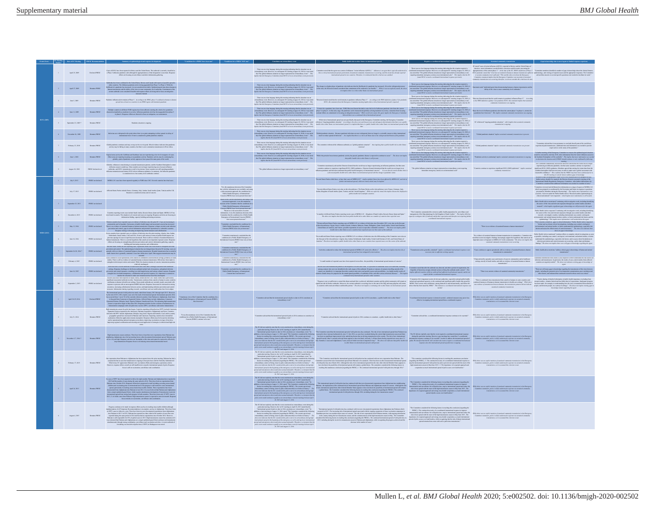|                  | <b>EC Morting Date of EC Morting PHEIC Ro.</b><br>Number |                      |                                                                                                                                                                                                                                                                                                                                                                                                                                                                                                                                                                                                                                                                                                                                                                   |                                                                                                                                                    |                                                                                                                                                                                                                                                         |                                                                                                                                                                                                                                                                                                                                                                                                                                                                                                                                                                                    |                                                                                                                                                                                                                                                                                                                                                                                                                                                                                                       |                                                                                                                                                                                                                                                                                                                                                                                                                                                                                                                                                                                                                                                            |                                                                                                                                                                                                                                      |                                                                                                                                                                                                                                                                                                                                                                                                                        |
|------------------|----------------------------------------------------------|----------------------|-------------------------------------------------------------------------------------------------------------------------------------------------------------------------------------------------------------------------------------------------------------------------------------------------------------------------------------------------------------------------------------------------------------------------------------------------------------------------------------------------------------------------------------------------------------------------------------------------------------------------------------------------------------------------------------------------------------------------------------------------------------------|----------------------------------------------------------------------------------------------------------------------------------------------------|---------------------------------------------------------------------------------------------------------------------------------------------------------------------------------------------------------------------------------------------------------|------------------------------------------------------------------------------------------------------------------------------------------------------------------------------------------------------------------------------------------------------------------------------------------------------------------------------------------------------------------------------------------------------------------------------------------------------------------------------------------------------------------------------------------------------------------------------------|-------------------------------------------------------------------------------------------------------------------------------------------------------------------------------------------------------------------------------------------------------------------------------------------------------------------------------------------------------------------------------------------------------------------------------------------------------------------------------------------------------|------------------------------------------------------------------------------------------------------------------------------------------------------------------------------------------------------------------------------------------------------------------------------------------------------------------------------------------------------------------------------------------------------------------------------------------------------------------------------------------------------------------------------------------------------------------------------------------------------------------------------------------------------------|--------------------------------------------------------------------------------------------------------------------------------------------------------------------------------------------------------------------------------------|------------------------------------------------------------------------------------------------------------------------------------------------------------------------------------------------------------------------------------------------------------------------------------------------------------------------------------------------------------------------------------------------------------------------|
|                  |                                                          |                      |                                                                                                                                                                                                                                                                                                                                                                                                                                                                                                                                                                                                                                                                                                                                                                   |                                                                                                                                                    |                                                                                                                                                                                                                                                         |                                                                                                                                                                                                                                                                                                                                                                                                                                                                                                                                                                                    |                                                                                                                                                                                                                                                                                                                                                                                                                                                                                                       |                                                                                                                                                                                                                                                                                                                                                                                                                                                                                                                                                                                                                                                            |                                                                                                                                                                                                                                      |                                                                                                                                                                                                                                                                                                                                                                                                                        |
|                  | April 25, 2009                                           |                      | $\label{thm:main}$ Cases of HIN1 have been reported in Mexico and the United States. The outbreak is currently classified as<br>$\label{thm:main}$ Declared PHEIC at Phase 3 influence generations, the<br>subseque function of the dissipation is                                                                                                                                                                                                                                                                                                                                                                                                                                                                                                                |                                                                                                                                                    |                                                                                                                                                                                                                                                         |                                                                                                                                                                                                                                                                                                                                                                                                                                                                                                                                                                                    |                                                                                                                                                                                                                                                                                                                                                                                                                                                                                                       |                                                                                                                                                                                                                                                                                                                                                                                                                                                                                                                                                                                                                                                            | $\overline{\text{LC}}$ noted "cases of exists influenza A(HINI), reported in Mexico and the United State America . more information is needed before a decision could be made concerning th                                          |                                                                                                                                                                                                                                                                                                                                                                                                                        |
| $\overline{2}$ . | April 27, 2009                                           | Remains PEHRC        | On<br>the aids two boxes multimaal is the United States, Mexico and Contails with reports of possible spectal<br>and the contrast possible determined by a possible form Phase 4 White the<br>contrast of a possible contrast in the c                                                                                                                                                                                                                                                                                                                                                                                                                                                                                                                            |                                                                                                                                                    |                                                                                                                                                                                                                                                         |                                                                                                                                                                                                                                                                                                                                                                                                                                                                                                                                                                                    |                                                                                                                                                                                                                                                                                                                                                                                                                                                                                                       | g unnochtete entergency.<br>Joand H1N1 to weed a                                                                                                                                                                                                                                                                                                                                                                                                                                                                                                                                                                                                           | 'epidemiological data demonstrating buman-to-haman tra<br>ability of the virus to cause community-level outbreaks."                                                                                                                  |                                                                                                                                                                                                                                                                                                                                                                                                                        |
| $\lambda$        | Aug 5, 2009                                              | Remains PHEIC        | Pandanic influence start remains at Plane S. According to the RSIO, plane 5 is defined at human-<br>strend into at least two countries in one RSIO review with inusineer nandemic.                                                                                                                                                                                                                                                                                                                                                                                                                                                                                                                                                                                |                                                                                                                                                    |                                                                                                                                                                                                                                                         | There was no clear language during this massing indicating that the obtation was an extending or our liberary on a subsequent EC metring (August 10, 2010), it was noted that the global influence clear<br>data may be global i                                                                                                                                                                                                                                                                                                                                                   | .<br>General noted that the world sension in pankenic influence Phan 5.* According to the WHO definition of phase 5 for p<br>- HINI, this statement from the Emergency Committee meeting implies that a risk of international careed                                                                                                                                                                                                                                                                  | found H1N1 to seed                                                                                                                                                                                                                                                                                                                                                                                                                                                                                                                                                                                                                                         | They were their legacy design the second part of the density in the first constant and the the world remains is parkers interest. Nevertheless the second of the second part of the second of the second of the second of the        |                                                                                                                                                                                                                                                                                                                                                                                                                        |
| $\sim$           | June 11, 2009                                            | Remains PHEIC        | Multiple countries in different WHO regions have been affected, mosting the criteria for a pandonic characterised globally as moderate in severity, Influenza pandonic also has been appended from plana 5 to plana 6. Respon                                                                                                                                                                                                                                                                                                                                                                                                                                                                                                                                     |                                                                                                                                                    |                                                                                                                                                                                                                                                         |                                                                                                                                                                                                                                                                                                                                                                                                                                                                                                                                                                                    | There we note the gap details a property decrease that decides we are considered in the limit of the constant of the decides of the constant of the constant of the constant of the constant of the constant of the constant                                                                                                                                                                                                                                                                          | They were the largest delay the model infusing the the studies registed is $P_{\rm eff}$ . The studies that is studied that the studies and the studies of the studies of the studies of the studies of the studies of the studies<br>onger represents." This implies that the EC<br>creational neals." This implies that the EC<br>creational response previously.<br>ng utunisdiate emergency at:<br>Joand H1N1 to weed a co                                                                                                                                                                                                                             |                                                                                                                                                                                                                                      |                                                                                                                                                                                                                                                                                                                                                                                                                        |
|                  | September 23, 2009 *                                     | Remains PHERC        |                                                                                                                                                                                                                                                                                                                                                                                                                                                                                                                                                                                                                                                                                                                                                                   |                                                                                                                                                    |                                                                                                                                                                                                                                                         | There was no clear language during this meeting indicating that the situation was an                                                                                                                                                                                                                                                                                                                                                                                                                                                                                               | While side of international spend was not specifically discussed in this Emergency Committee meeting, the Emergency Committee<br>extualizery out. Hereon, it s absoques EC auting August 16, 2009, it was noted and means anguing published drames" scoreing to the down and act the provincial substantial and and an application and the same of the same of                                                                                                                                        | Fourth at MM as used a continuous meteoric policy<br>from the structure regional $\alpha$ . There we no a close large<br>age during this model indicates the structure regional is constanted in<br>terminal improvement from an analysis o                                                                                                                                                                                                                                                                                                                                                                                                                | $\operatorname{IC}$ columned "ongoing pandemic situation," which implies that notatived commonly                                                                                                                                     |                                                                                                                                                                                                                                                                                                                                                                                                                        |
|                  | November 26, 2009                                        | <b>Romains PHEIC</b> | Infections are wide<br>special to the point where there is no point attempting to delay special via delay of international travel. Event is considered a global prodereix elements.                                                                                                                                                                                                                                                                                                                                                                                                                                                                                                                                                                               |                                                                                                                                                    |                                                                                                                                                                                                                                                         |                                                                                                                                                                                                                                                                                                                                                                                                                                                                                                                                                                                    |                                                                                                                                                                                                                                                                                                                                                                                                                                                                                                       | $\label{eq:3.1} \begin{array}{ll} \textbf{Time} & \textbf{Area} & \textbf{Area} \\ \hline \textbf{Area} & \textbf{Area} & \textbf{Area} \\ \textbf{Area} & \textbf{Area} & \textbf{Area} \\ \textbf{Area} & \textbf{Area} & \textbf{Area} \\ \textbf{Area} & \textbf{Area} & \textbf{Area} \\ \textbf{Area} & \textbf{Area} & \textbf{Area} \\ \textbf{Area} & \textbf{Area} & \textbf{Area} \\ \textbf{Area} & \textbf{Area} & \textbf{Area} \\ \textbf{Area} & \textbf{Area} \\ \textbf{Area} & \textbf{Area} \\ \textbf{Area$                                                                                                                           |                                                                                                                                                                                                                                      |                                                                                                                                                                                                                                                                                                                                                                                                                        |
|                  | Fabruary 23, 2000                                        | Romains PHEIC        | $\label{thm:conjugation} Chbald\ quantization contains a add may or may not be over in peak. Mind with each indixare that paradumion activity may be falling in many countries, but there is new commutity transformation in Wort Alfica.$                                                                                                                                                                                                                                                                                                                                                                                                                                                                                                                        |                                                                                                                                                    |                                                                                                                                                                                                                                                         |                                                                                                                                                                                                                                                                                                                                                                                                                                                                                                                                                                                    | There are a law length design in the control plate deviation with $\sim$ The sometime informed the influence reduced as a "phot postular design" that implies that is a share to be a later than the state of the state of the                                                                                                                                                                                                                                                                        | $\label{thm:main} The second semishted is unbounded element, for any non-odd, for any non-odd, for any non-odd, for any non-odd, for any non-odd, for any non-odd, for any non-odd, for any non-odd, for any non-odd, for any non-odd, for any non-odd, for any non-odd, for any non-odd, for any non-odd, for any non-odd, for any non-odd, for any non-odd, for any non-odd, for any non-odd, for any non-odd, for any non-odd, for any non-odd, for any non-odd, for any non-odd, for any non-odd, for any non-odd, for any non-odd, for any non-odd, for any non-odd, for any non-odd, for any non-odd, for any non-odd, for any non-odd, for any non$ |                                                                                                                                                                                                                                      | "Committee advised that it was premature to conclude that all parts of the world have<br>specienced peak transmissionadditional time and information variance of the pandomic $\sim$                                                                                                                                                                                                                                   |
| $8 -$            | Asso 1, 2010                                             | Romains PHEIC        | $\label{prop:main} \begin{minipage}[t]{0.9\textwidth} \begin{minipage}[t]{0.9\textwidth} \begin{itemize} \begin{itemize} \begin{itemize} \begin{itemize} \begin{itemize} \end{itemize} \end{itemize} \end{itemize} \end{itemize} \end{minipage}[t]{\textbf{the area are specified from a sub-optimization of the two numbers of the two numbers.} \end{itemize} \end{minipage}[t]{\textbf{the area are specified from a sub-approximation of the two numbers.} \end{minipage}[t]{\textbf{the area of the two numbers.} \end{minipage}[t]{\textbf{the area of the two numbers.} \end{minipage}[t]{\textbf{the area of the$                                                                                                                                         |                                                                                                                                                    |                                                                                                                                                                                                                                                         |                                                                                                                                                                                                                                                                                                                                                                                                                                                                                                                                                                                    | $\label{eq:main} \begin{minipage}[t]{0.9\textwidth} \begin{minipage}[t]{0.9\textwidth} \begin{minipage}[t]{0.9\textwidth} \begin{minipage}[t]{0.9\textwidth} \begin{minipage}[t]{0.9\textwidth} \begin{minipage}[t]{0.9\textwidth} \begin{minipage}[t]{0.9\textwidth} \begin{minipage}[t]{0.9\textwidth} \begin{minipage}[t]{0.9\textwidth} \begin{minipage}[t]{0.9\textwidth} \begin{minipage}[t]{0.9\textwidth} \begin{minipage}[t]{0.9\textwidth} \begin{minipage}[t]{0.9\textwidth} \begin{minip$ |                                                                                                                                                                                                                                                                                                                                                                                                                                                                                                                                                                                                                                                            | tivity is continuing" implies sustained comm                                                                                                                                                                                         | "A father marting of the Emergency Co.<br>"A farkle masteig of the Energiesy Considers to summarize the split<br>simultages of monotonic by mid-Jag 2010, when information from the vistor influence same<br>a in the Southern Hamisphers will be available. "Also region to<br>                                                                                                                                       |
|                  | August 10, 2010                                          | PHEIC declared over  | Globally, influenza is transitioning to suppose transmission patterns, and the Southern He<br>Constaty, automore as transforming to suscent transmission patterns, and the bombinal formulation and<br>influence scanne is underway. More countries are no longer experiencing out-of-susens influence<br>contention, and HINI tr                                                                                                                                                                                                                                                                                                                                                                                                                                 |                                                                                                                                                    |                                                                                                                                                                                                                                                         | "The elobal influence situation no longer represented an extraordinary event"                                                                                                                                                                                                                                                                                                                                                                                                                                                                                                      | "Consider an<br>interaction of about Discolution (IR) (2000) quidents. Decay constraints in the<br>considerably about the policy of the state of the state of the state of the state of the state of the plate of<br>about policies in                                                                                                                                                                                                                                                                |                                                                                                                                                                                                                                                                                                                                                                                                                                                                                                                                                                                                                                                            | significant HINI (2009) opidemics"<br>commenty transmission.                                                                                                                                                                         | experimenting an influences paradomic, but that some constraints to continue to experimental eigenfunction (in the state of the state of the state of the state of the state of the state of the state of the state of the st                                                                                                                                                                                          |
| $\mathbf{1}$ .   | 145, 2013                                                |                      | FHEIC not declared MERS-CoV cause have been reported regularly to WHO since 2012. Several countries have had cause.                                                                                                                                                                                                                                                                                                                                                                                                                                                                                                                                                                                                                                               |                                                                                                                                                    |                                                                                                                                                                                                                                                         |                                                                                                                                                                                                                                                                                                                                                                                                                                                                                                                                                                                    | "Sevaral States Parise which have, or have bad, cases of MERS-CoV" implies multiple States have been affected by MERS-CoV, and risk of factor international spread, while not clearly stated, may be implied                                                                                                                                                                                                                                                                                          |                                                                                                                                                                                                                                                                                                                                                                                                                                                                                                                                                                                                                                                            |                                                                                                                                                                                                                                      | $\label{eq:main}$ "In colar to this at matting to voir<br>$\beta\sigma$ data to address gaps in lanewhelp. The colar to take a independent equation to be a<br>discussed in any further action, should kin required, the Director General convened                                                                                                                                                                     |
| $\overline{2}$   | July 17, 2013                                            |                      |                                                                                                                                                                                                                                                                                                                                                                                                                                                                                                                                                                                                                                                                                                                                                                   |                                                                                                                                                    | This the unanimous decision of the Committee that, with the information now available, and using a risk-someoned approach, the conditions the a Politic Healt Benergates, of Emmanismal Concern (PHEIC) here not at present b                           |                                                                                                                                                                                                                                                                                                                                                                                                                                                                                                                                                                                    | "Sevani affored States Parise was also on the teleconformer. The States Parise on the teleconformer wave France, Germany, Indy, Joshu, Kingdom of States, Quay, Tunisia, and the United Statesfort. "Fibir see exploring and                                                                                                                                                                                                                                                                          |                                                                                                                                                                                                                                                                                                                                                                                                                                                                                                                                                                                                                                                            |                                                                                                                                                                                                                                      | Y's produce preliminational deliberated on information on a many of sensety of MERS-CAN<br>omunitae arrestread and distinential on universation on a range of aspects of Minite-CuV<br>hich was propund or coordinated by the Successivit and States in response to questions .<br>presented by Manhers during the first meetin                                                                                        |
| $\lambda$        | September 25, 2013                                       | PHEIC not dictared   |                                                                                                                                                                                                                                                                                                                                                                                                                                                                                                                                                                                                                                                                                                                                                                   |                                                                                                                                                    | Head on the current information, and using a risk<br>associates of the current information, and using a risk<br>associates of the Coussiline of the Coussiline of the countries of the<br>current of the countries of the countries of                  |                                                                                                                                                                                                                                                                                                                                                                                                                                                                                                                                                                                    |                                                                                                                                                                                                                                                                                                                                                                                                                                                                                                       |                                                                                                                                                                                                                                                                                                                                                                                                                                                                                                                                                                                                                                                            |                                                                                                                                                                                                                                      | Public Haalth Advice mentioned "continuing with invastigative work, including identifying the source of the virus and subcourt exposures through case control studies and other measurab" which implies eignificant gaps in k                                                                                                                                                                                          |
| $\sim$           | December 4, 2013                                         |                      | es reporting recent cases include Saudi Arabia. Kemair, Oman, Ostar and Smin, MERS-CoV has<br>$\textbf{HHEC} \text{ and natural} \qquad \textbf{box found in canark. The domain of constant and cause are ongoing Repous activities are focusing on information, and using a mapping.}$                                                                                                                                                                                                                                                                                                                                                                                                                                                                           |                                                                                                                                                    | $\begin{minipage}{0.9\linewidth} \begin{tabular}{l} \textbf{convariance,} \textbf{a} \textbf{ can be mentioned because for a Pable Head} \\ \textbf{Convergency of Inarrational Coscorr (PEBC)} \\ \textbf{haso not at power been met}^+ \end{tabular}$ |                                                                                                                                                                                                                                                                                                                                                                                                                                                                                                                                                                                    | aber of affected States Paries reporting recent cases of MERS-CoV – Kingdom of Sandi Arabas, Korant, Uman, Qutur and S<br>The above text implies that there has been public health risk to other Scares as a manker of countries                                                                                                                                                                                                                                                                      | coordinated international response.                                                                                                                                                                                                                                                                                                                                                                                                                                                                                                                                                                                                                        |                                                                                                                                                                                                                                      | Public Health Adviso requested "continuing with investigative work, including identifying the source of the visus and relevant exposures through case-control studies and other<br>the source of the victorial function modern in formula control control and their source<br>the source of the system of the system of the system of the system of<br>the system of the system of the system of the system of the sys |
|                  | 5 May 13, 2004                                           | PHEIC not declared   | This<br>non-momentum area of the control of the control of point $\mathbb{K}^n$ .<br>Contrasting a controller and is hopplet, Suissance of points in the controller controller<br>control of the controller controller controller than the                                                                                                                                                                                                                                                                                                                                                                                                                                                                                                                        |                                                                                                                                                    | Committee concluded that the conditions for Public Health Energoncy of International Concern (PHEIC) have not yet been met."                                                                                                                            |                                                                                                                                                                                                                                                                                                                                                                                                                                                                                                                                                                                    | "Thirsen affected States Parties reporting cases of MEES-CoV or evidence of infection since December 2013, were also as the first part of the States Parties Corea, the States Parties Corea, the States Parties of American                                                                                                                                                                                                                                                                          |                                                                                                                                                                                                                                                                                                                                                                                                                                                                                                                                                                                                                                                            | "There is no evidence of sustained human-to-han                                                                                                                                                                                      | there are gaps in knowledge                                                                                                                                                                                                                                                                                                                                                                                            |
| $6 -$            | June 16, 2014                                            | PHEIC not declared   |                                                                                                                                                                                                                                                                                                                                                                                                                                                                                                                                                                                                                                                                                                                                                                   |                                                                                                                                                    | $\label{eq:V} \begin{array}{ll} \mbox{V} can since an anineqody and indeed that the conditions for a Public Health frequency of 10mcm (HHC) have not yet been. \end{array}$<br>$-$ and $-$                                                              |                                                                                                                                                                                                                                                                                                                                                                                                                                                                                                                                                                                    | "Seva allunal State Paria reporting cause of MERS-CoV or evidence of infection since the fifth moning of the Committee was also on<br>the fire part of the relevantiums: Napris, ban, botha, Netherlands, Sand Arabia, Cisinal Ar                                                                                                                                                                                                                                                                     |                                                                                                                                                                                                                                                                                                                                                                                                                                                                                                                                                                                                                                                            | "No evidence of sumined human-to-bannas transmission in communities. Committee also noted that recent investigative findings increasingly support the hypothesis that cannots are an important source of exposure to MERS-CoV        | Pablic Hardis Archive membered "continue effects to complete critical investigations as uses (as a possible, including care coerest, enoteing convictions and archive coefficient in beams (as a maximum of the state of the                                                                                                                                                                                           |
|                  | 7 Senator 26-30, 2014 * FHEIC or delayd                  |                      | , then are becomes as shown in the specifical gradient process and control contained generational process and containing a state of the specifical state of the specifical state of the specifical state of the specifical st                                                                                                                                                                                                                                                                                                                                                                                                                                                                                                                                     |                                                                                                                                                    | $\label{eq:1} \begin{array}{ll} \textbf{``Cosamitzes unminesely concluded that the conditions for a Public Health Engineeringly of International Conccen (PHIC) have aort yet been.} \end{array}$<br><b>College</b>                                     |                                                                                                                                                                                                                                                                                                                                                                                                                                                                                                                                                                                    |                                                                                                                                                                                                                                                                                                                                                                                                                                                                                                       | $\begin{array}{ll} \text{generally contained}^* & \text{implies according to some} \\ \text{acceptary, due to sufficient existing capacity}. \end{array}$                                                                                                                                                                                                                                                                                                                                                                                                                                                                                                  | appear sponsdically with no evidence of sustainable<br>transmission in communities"                                                                                                                                                  | Public health advice mentions "address critical gaps in knowledge of human and animal mass<br>mission." $\,$                                                                                                                                                                                                                                                                                                           |
| $\sim$           | February 4, 2015                                         | PHEIC not declared   | Cause continue to occur sporadically with clusters in communities and has<br>theans ratings, primatily in Sandi . Atabia. There is estill no oridence of suminals has<br>not to be a maximized for the structure of concern, transm                                                                                                                                                                                                                                                                                                                                                                                                                                                                                                                               |                                                                                                                                                    | "Committee unanimously concluded that the<br>conditions for a Public Health Emergency of<br>humanism of Common (META) humanity                                                                                                                          |                                                                                                                                                                                                                                                                                                                                                                                                                                                                                                                                                                                    | "A small number of exported cases have been reported in travellers  the possibility of international spread remains of concern."                                                                                                                                                                                                                                                                                                                                                                      |                                                                                                                                                                                                                                                                                                                                                                                                                                                                                                                                                                                                                                                            | $The natural is of type of a case and cluster of cases is commutativeof various examples, useful problems of unimised homotopy. In fact, we will use a relation of unimised the$                                                     | "Addrisonal information from endies is also required to better understand the sixt factors for inflection and transmission. In particular, the results of case-control studies from affected commiss are segontly needed." Th                                                                                                                                                                                          |
|                  | June 16, 2015                                            | PHEIC not disland    | There has been a record reduced in South Kerra and China that is comply associated with hardborous charges to the Kerra methods include the off-symmons, shadows prevention and correlations of the prevention and correlatio<br>Recent cases have been reported in Sandi Arabia, Jordan and the UAE. Sandi Arabia had a particularly                                                                                                                                                                                                                                                                                                                                                                                                                             |                                                                                                                                                    | $\label{eq:main} \begin{array}{ll} \textbf{``Comulus conditional that the conditions for }\\ \textbf{Pable Hall Anargancy of International} \\ \textbf{Concurrent have not been met.} \end{array}$                                                      |                                                                                                                                                                                                                                                                                                                                                                                                                                                                                                                                                                                    | "Instrument parameter in Engels of team of the streethy in Editorial Companies and the streethy extent we described the prode reputation, to<br>anagement the use installed to adjace of the attack they or remain companies of t                                                                                                                                                                                                                                                                     |                                                                                                                                                                                                                                                                                                                                                                                                                                                                                                                                                                                                                                                            | "There is no current evidence of sumined community trans                                                                                                                                                                             | "There are still many gaps in knowledge regarding the transmission of this virus between people, including the potential role of environmental contamination, poor versitation and other factors, and indicated that continue                                                                                                                                                                                          |
|                  | Supander 2, 2015                                         | PHEIC not declared   | $\label{eq:optimal} \begin{minipage}{0.9\textwidth} \begin{minipage}{0.9\textwidth} \begin{itemize} \textbf{in} & \textbf{if} & \textbf{if} \\ \textbf{if} & \textbf{if} \\ \textbf{if} & \textbf{if} \end{itemize} \end{minipage} \begin{minipage}{0.9\textwidth} \begin{itemize} \textbf{in} & \textbf{if} \\ \textbf{if} & \textbf{if} \\ \textbf{if} & \textbf{if} \\ \textbf{if} & \textbf{if} \\ \textbf{if} & \textbf{if} \\ \textbf{if} & \textbf{if} \\ \textbf{if} & \textbf{if}$<br>res, Information sharing requesting research, surveillance and case notifications has                                                                                                                                                                              |                                                                                                                                                    |                                                                                                                                                                                                                                                         |                                                                                                                                                                                                                                                                                                                                                                                                                                                                                                                                                                                    | To space is not yet cufficient to control this these and until this is achieved, individual counties and the global community will remain at the space of the space of the space of the space of the space of the space of th                                                                                                                                                                                                                                                                         | *Committee felt it important to alort all relevant authorities, especially national public health<br>Commutes and applicability appears to the continued and significant public health risks possibly MERS. These sectors must collibrate, smore phenosity<br>or and significant public health risks possibly MERS. These sectors mus                                                                                                                                                                                                                                                                                                                      | "There is continued view transmission from cannot to humans in some countries and continued instances of human-to-baseau transmission in bushes carriered with the show was evidence of transmission between kommas, the tran        | "Transly sharing of detailed information of public health importance, is<br>cheding from resures that for . remains families about the first<br>column basis, means that is considered in the section of the state is mainless<br>than                                                                                                                                                                                 |
| $\mathbf{H}$     | April 28-29, 2014                                        | <b>Daylord BREAT</b> | The isometrical upper of the field policies<br>transmit studie field and are small of the control of the state of the<br>state control of the interactional quark spectral speed in $3$<br>$10$ of $6$ field and control of the<br>$\sim 30$                                                                                                                                                                                                                                                                                                                                                                                                                                                                                                                      | "Unanimous view of the Committee that the conditions for Public Health Emergency of International Concern (PHEIC have been such "                  |                                                                                                                                                                                                                                                         |                                                                                                                                                                                                                                                                                                                                                                                                                                                                                                                                                                                    |                                                                                                                                                                                                                                                                                                                                                                                                                                                                                                       | ated international response is deemed control. unilateral measures may offective in stopping international specad than a coordinated response.                                                                                                                                                                                                                                                                                                                                                                                                                                                                                                             | While there was no explicit moreon of exstained community transmission in the Emergency<br>Committee statements, polic is widely understand to operate via exchange of<br>Statement Statement (see it is assumed this criterion is m |                                                                                                                                                                                                                                                                                                                                                                                                                        |
|                  | July 31, 2014                                            | Remains PHEIC        | $\mathbb{E}_{\mathbb{R}}$ the<br>matrice states of public her begins Countino expecting will polarized (WPV) include Cause<br>on the control of the Associated Polarization (Parkins (expective Adjacenter) and Septia Countino, the WPV inclu                                                                                                                                                                                                                                                                                                                                                                                                                                                                                                                    | Th was the unanimous view of the Committee that the conditions for a Public Health Emergency of International Concern (PHEC) continue to be uset." |                                                                                                                                                                                                                                                         | "Committee advised that the international spread of polio in $2014$ continuously $\alpha$ on $\alpha$                                                                                                                                                                                                                                                                                                                                                                                                                                                                              |                                                                                                                                                                                                                                                                                                                                                                                                                                                                                                       |                                                                                                                                                                                                                                                                                                                                                                                                                                                                                                                                                                                                                                                            | Consider may no expect memory of sensing commonly restaurant or or exterior                                                                                                                                                          |                                                                                                                                                                                                                                                                                                                                                                                                                        |
|                  | Navanbar 2-7, 2014 *                                     | Romains PHEIC        | $\label{prop:optimal} The data is a new bound for the same set of the data is a non-regular set. The first is a new solution is a 14-year limit. Suppose a arbitrary set of the data is a 14-year limit. Suppose a arbitrary set of the data is the same set of the data is a 14-year limit. Suppose a arbitrary product is an non-linear set of the data is a linearly independent.$                                                                                                                                                                                                                                                                                                                                                                             |                                                                                                                                                    |                                                                                                                                                                                                                                                         |                                                                                                                                                                                                                                                                                                                                                                                                                                                                                                                                                                                    |                                                                                                                                                                                                                                                                                                                                                                                                                                                                                                       |                                                                                                                                                                                                                                                                                                                                                                                                                                                                                                                                                                                                                                                            |                                                                                                                                                                                                                                      |                                                                                                                                                                                                                                                                                                                                                                                                                        |
|                  | Fabruary 17, 2015                                        | Romains PHEIC        | One expectation from Pulistan to Afghanistan has been reported since the prior mesting. Pulistan has had a constant discussion is equiving in four perturbation of the Polically Administered Third Annual Trial Association                                                                                                                                                                                                                                                                                                                                                                                                                                                                                                                                      |                                                                                                                                                    |                                                                                                                                                                                                                                                         | The EC did not explicitly state that the event constituted an extraordinary event during this<br>$\it read$ and transmission when evaluations as extraordinary event<br>salin evant would continue to qualify on an extraordinary event<br>$28, 2015 \; \rm and \; \rm degree 11, 2016$                                                                                                                                                                                                                                                                                            |                                                                                                                                                                                                                                                                                                                                                                                                                                                                                                       |                                                                                                                                                                                                                                                                                                                                                                                                                                                                                                                                                                                                                                                            |                                                                                                                                                                                                                                      |                                                                                                                                                                                                                                                                                                                                                                                                                        |
|                  | April 24, 2015                                           | <b>Remains PHEIC</b> |                                                                                                                                                                                                                                                                                                                                                                                                                                                                                                                                                                                                                                                                                                                                                                   |                                                                                                                                                    |                                                                                                                                                                                                                                                         | The EC did not explicitly state that the event constituted an extraordinary event during this<br>$\label{eq:1} \begin{minipage}{0.9\linewidth} \textbf{for even} \textbf{and} \textbf{and} \textbf{and} \textbf{and} \textbf{and} \textbf{and} \textbf{and} \textbf{and} \textbf{and} \textbf{and} \\ \textbf{28, 2015 and thegoal 11, 2016 \textbf{and} \textbf{and} \textbf{and} \textbf{and} \textbf{and} \textbf{and} \textbf{and} \textbf{and} \textbf{and} \textbf{and} \textbf{and} \textbf{and} \textbf{and} \textbf{and} \textbf{and} \textbf{and} \textbf{and} \textbf{$ |                                                                                                                                                                                                                                                                                                                                                                                                                                                                                                       |                                                                                                                                                                                                                                                                                                                                                                                                                                                                                                                                                                                                                                                            |                                                                                                                                                                                                                                      |                                                                                                                                                                                                                                                                                                                                                                                                                        |
|                  |                                                          |                      | $\label{lem:main} The question contains a two sequence states and as a meaning associated relation and non-implications of all Tampons and non-adjointian is non-adjointian. Also, in \mathcal{M}/\mathcal{M} and in \mathcal{M}/\mathcal{M} are a non-adjointian. In this case, in \mathcal{M}/\mathcal{M} is a 2015, Faldonan has a separable non-adjointianian. In \mathcal{M}/\mathcal{M} and \mathcal{M}/\mathcal{M} is a 2015, B2015, Faldonan has a non-adjointianian algebra of the number of cases that was$<br>mpenal during the same point in 2014 and has had no experiments since October 2014. However,<br>$\sim$ 2014 and required<br>the for SN-s of the discussion in the SN-s High transverse in the same<br>means from the same contrast of th |                                                                                                                                                    |                                                                                                                                                                                                                                                         |                                                                                                                                                                                                                                                                                                                                                                                                                                                                                                                                                                                    |                                                                                                                                                                                                                                                                                                                                                                                                                                                                                                       |                                                                                                                                                                                                                                                                                                                                                                                                                                                                                                                                                                                                                                                            | $[This is how now no explicit metric of natural commutity theorem to see a non-Comuities statements, pole is widely understood to open via natural comu-Conviative automant, pole is widely understood to open-tion is not$          |                                                                                                                                                                                                                                                                                                                                                                                                                        |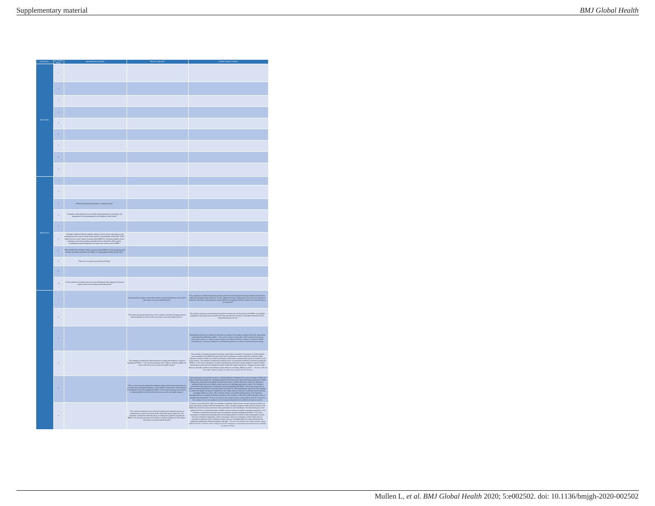| Exect (Year)       |                          |                                                                                                                                                                                                                                     |                                                                                                                                                                                                                                  |                                                                                                                                                                                                                                                                                                                                                                                                                               |
|--------------------|--------------------------|-------------------------------------------------------------------------------------------------------------------------------------------------------------------------------------------------------------------------------------|----------------------------------------------------------------------------------------------------------------------------------------------------------------------------------------------------------------------------------|-------------------------------------------------------------------------------------------------------------------------------------------------------------------------------------------------------------------------------------------------------------------------------------------------------------------------------------------------------------------------------------------------------------------------------|
|                    | t.                       |                                                                                                                                                                                                                                     |                                                                                                                                                                                                                                  |                                                                                                                                                                                                                                                                                                                                                                                                                               |
|                    | $\bar{2}$                |                                                                                                                                                                                                                                     |                                                                                                                                                                                                                                  |                                                                                                                                                                                                                                                                                                                                                                                                                               |
|                    | ä                        |                                                                                                                                                                                                                                     |                                                                                                                                                                                                                                  |                                                                                                                                                                                                                                                                                                                                                                                                                               |
|                    | $\epsilon$               |                                                                                                                                                                                                                                     |                                                                                                                                                                                                                                  |                                                                                                                                                                                                                                                                                                                                                                                                                               |
| <b>HINI (2009)</b> | $\overline{\phantom{a}}$ |                                                                                                                                                                                                                                     |                                                                                                                                                                                                                                  |                                                                                                                                                                                                                                                                                                                                                                                                                               |
|                    | $\epsilon$               |                                                                                                                                                                                                                                     |                                                                                                                                                                                                                                  |                                                                                                                                                                                                                                                                                                                                                                                                                               |
|                    | $\overline{z}$           |                                                                                                                                                                                                                                     |                                                                                                                                                                                                                                  |                                                                                                                                                                                                                                                                                                                                                                                                                               |
|                    | $\overline{\mathbf{a}}$  |                                                                                                                                                                                                                                     |                                                                                                                                                                                                                                  |                                                                                                                                                                                                                                                                                                                                                                                                                               |
|                    | $\boldsymbol{9}$         |                                                                                                                                                                                                                                     |                                                                                                                                                                                                                                  |                                                                                                                                                                                                                                                                                                                                                                                                                               |
|                    | $\bar{1}$                |                                                                                                                                                                                                                                     |                                                                                                                                                                                                                                  |                                                                                                                                                                                                                                                                                                                                                                                                                               |
|                    | $\overline{a}$           |                                                                                                                                                                                                                                     |                                                                                                                                                                                                                                  |                                                                                                                                                                                                                                                                                                                                                                                                                               |
|                    | $\lambda$                | WHO Secretariat presented updates on "Huji and Unrah"                                                                                                                                                                               |                                                                                                                                                                                                                                  |                                                                                                                                                                                                                                                                                                                                                                                                                               |
|                    | ä.                       | "Committee common<br>ded the extensive public bashfu properation for, exercitly<br>a management of the Hujj pilgeimage by the Kingdom of Sandi Atabia."                                                                             |                                                                                                                                                                                                                                  |                                                                                                                                                                                                                                                                                                                                                                                                                               |
| MERS (2013)        | $\bar{\mathbf{s}}$       |                                                                                                                                                                                                                                     |                                                                                                                                                                                                                                  |                                                                                                                                                                                                                                                                                                                                                                                                                               |
|                    | $\boldsymbol{6}$         | "Committee emphasized that the situation continues to be of concern, especially given the loads in course in true to is fand. And<br>the related to Uniter, Ramathan and the High-Paddie and in the Higher<br>state has been been s |                                                                                                                                                                                                                                  |                                                                                                                                                                                                                                                                                                                                                                                                                               |
|                    | $\sigma$                 | Nidic Health Advice mentions "impress awareness about MERS-CuV among pilgrims going for Hug, and conduct surveillance for MERS-CuV among pilgrims during and after Hug,"                                                            |                                                                                                                                                                                                                                  |                                                                                                                                                                                                                                                                                                                                                                                                                               |
|                    | $\bar{\mathbf{x}}$       | "There were no reported cases related to the Hajj."                                                                                                                                                                                 |                                                                                                                                                                                                                                  |                                                                                                                                                                                                                                                                                                                                                                                                                               |
|                    | $\ddot{\phantom{0}}$     |                                                                                                                                                                                                                                     |                                                                                                                                                                                                                                  |                                                                                                                                                                                                                                                                                                                                                                                                                               |
|                    | $\mathbf{r}$             | "Currant corbreak is occurring close to the start of the Hug and many pilgeims will seturn to complete with weak surveillance and bookh systems."                                                                                   |                                                                                                                                                                                                                                  |                                                                                                                                                                                                                                                                                                                                                                                                                               |
|                    | i.                       |                                                                                                                                                                                                                                     | "If underlock this city<br>ation could result in failure to eradicate globally one of the world's most serious vaccine preventable discusse."                                                                                    | The consequences of forther international spread are particularly acuts today given the large number of polis-free-but coeffict-som and fragile States which here severaly compossional souties immediates services and are a                                                                                                                                                                                                 |
|                    | $\overline{a}$           |                                                                                                                                                                                                                                     | "The internal<br>is interactional specad of policecirus in 2014 continues to the<br>setus the ongoing effort to eradicate globally one of the world's most serious vaccine percentable diseases."                                | The possible consequences of international spend here worsened since the declaration of the PHEC, as unexpellely populations living in polic-fiels but conflict-sum Situac and near law terms of their posteriors of their po<br>The                                                                                                                                                                                          |
|                    | $\lambda$                |                                                                                                                                                                                                                                     |                                                                                                                                                                                                                                  | mmaissalen operan kare continued to detainents in a number of the sounties at guatest six of their importations of particle of the detailed production of the detection of particle of the detailed production of particle in                                                                                                                                                                                                 |
|                    | í.                       |                                                                                                                                                                                                                                     | . The committee considered the following factors in reaching this unanimous conclusion garding the PHEC] . $2$ . The risk and consequent costs of failure to emdation globally one of the world's most series<br>as vaccine prev | The proof<br>that planning approximate a photon scale of the control of the proof of control of<br>the control of the control of the control of the control of the control of<br>$\sigma$ and the control of the control of the control of<br>were taken into account for the IC's decision                                                                                                                                   |
|                    | $\overline{\phantom{a}}$ |                                                                                                                                                                                                                                     | "This is a critical stage for global polic emification during which the hard-carned gains can be quickly lost given fragility of progress. The Committee considered the following factors in reading this conclusion [action     | $\begin{split} \sum_{\substack{\mathbf{a} \in \mathbb{Z}^3 \\ \mathbf{a} \in \mathbb{Z}^3 \\ \mathbf{a} \in \mathbb{Z}^3 \\ \mathbf{a} \in \mathbb{Z}^3 \\ \mathbf{a} \in \mathbb{Z}^3 \\ \mathbf{a} \in \mathbb{Z}^3 \\ \mathbf{a} \in \mathbb{Z}^3 \\ \mathbf{a} \in \mathbb{Z}^3 \\ \mathbf{a} \in \mathbb{Z}^3 \\ \mathbf{a} \in \mathbb{Z}^3 \\ \mathbf{a} \in \mathbb{Z}^3 \\ \mathbf{a} \in \mathbb{Z}^3 \\ \mathbf{a$ |
|                    |                          |                                                                                                                                                                                                                                     | The world has randod the critical end stage for global police endication and loss of momentum over conditions on present the roots achieved the state galaxy and and results of the Committee consistent density above applic    |                                                                                                                                                                                                                                                                                                                                                                                                                               |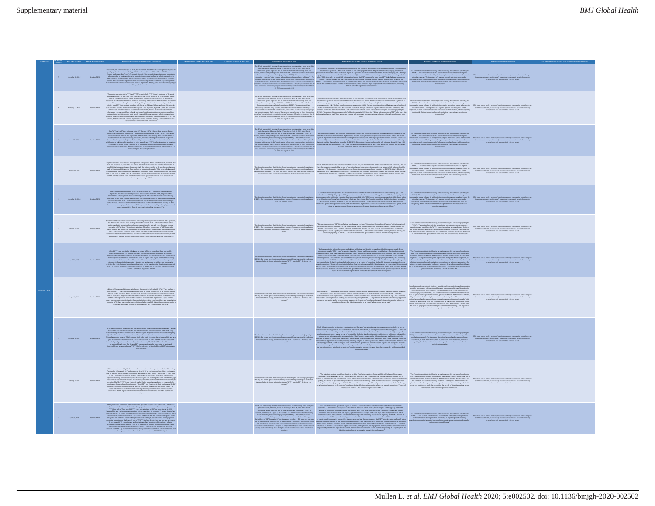|  | <b>EC Morting Date of EC Morting Number</b> |                                                                                                                                                                                                                                                                                                                                                                                            |  |                                                                                                                                                                                                                                     | Public brakh risk to other States via into                                                                                                                                                                                                                                                                                                                                                                                                                                                                                                                                                                                                                                                                                                                                                                                                                                                         |                                                                                                                                                                                                                                                                                      |                                                                                                                                                                                                                              |  |
|--|---------------------------------------------|--------------------------------------------------------------------------------------------------------------------------------------------------------------------------------------------------------------------------------------------------------------------------------------------------------------------------------------------------------------------------------------------|--|-------------------------------------------------------------------------------------------------------------------------------------------------------------------------------------------------------------------------------------|----------------------------------------------------------------------------------------------------------------------------------------------------------------------------------------------------------------------------------------------------------------------------------------------------------------------------------------------------------------------------------------------------------------------------------------------------------------------------------------------------------------------------------------------------------------------------------------------------------------------------------------------------------------------------------------------------------------------------------------------------------------------------------------------------------------------------------------------------------------------------------------------------|--------------------------------------------------------------------------------------------------------------------------------------------------------------------------------------------------------------------------------------------------------------------------------------|------------------------------------------------------------------------------------------------------------------------------------------------------------------------------------------------------------------------------|--|
|  | November 10, 2015                           | This metric process<br>control neight for WCV, the shadkat for April A of the CoVV specifiedly<br>$\phi$ and the control of the CoVV substitute of the CoVV<br>$\phi$ and CoVV substitute of the CoVV substitute of the CoVV substitute of                                                                                                                                                 |  |                                                                                                                                                                                                                                     |                                                                                                                                                                                                                                                                                                                                                                                                                                                                                                                                                                                                                                                                                                                                                                                                                                                                                                    |                                                                                                                                                                                                                                                                                      | structure and expenses members up announced and approvale size execution                                                                                                                                                     |  |
|  | February 12, 2016                           | The master use measured in WV and ADPs - particularly ADPV (up 3 in about of the plots of the plots of the plots of the plats of the plats of the plats of the plats of the plats of the plats of the plats of the plats of t                                                                                                                                                              |  |                                                                                                                                                                                                                                     | $\label{thm:20} \begin{minipage}[t]{0.5\textwidth} {\small\begin{tabular}[t]{0.9\textwidth} {\small\begin{tabular}[t]{0.9\textwidth} {\small\begin{tabular}[t]{0.9\textwidth} {\small\begin{tabular}[t]{0.9\textwidth} {\small\begin{tabular}[t]{0.9\textwidth} {\small\textbf{M} }\\ \hline \textbf{M} }\\ \hline \textbf{M} }\\ \hline \textbf{M} }\\ \hline \textbf{M} }\\ \hline \textbf{M} }\\ \hline \textbf{M} \\ \textbf{M} \\ \textbf{M} \\ \textbf{M} \\ \textbf{M} \\ \textbf{M} \\$                                                                                                                                                                                                                                                                                                                                                                                                    |                                                                                                                                                                                                                                                                                      | While there was no explicit mention of sustained community transmission in the $E$<br>Committee statements, polio is widely understood to operate via sustained con<br>statements so it is assumed this criterion is met     |  |
|  | May 12, 2006                                | inds WPV and colliser and Commerts that C. The type 2 GPV which<br>are also measured in their law consense for a Books and Commercial Commercial Commercial Commercial Commercial<br>measured of Europe is explained as Commercial                                                                                                                                                         |  |                                                                                                                                                                                                                                     |                                                                                                                                                                                                                                                                                                                                                                                                                                                                                                                                                                                                                                                                                                                                                                                                                                                                                                    |                                                                                                                                                                                                                                                                                      | us no especie mantion of exchanged community transmission<br>examinants, polio is widely understood to operate via exclusi<br>transmission, oo it is assumed this criterium is met                                           |  |
|  |                                             | Negatis has had two cases of accors flux<br>of gasolysic in July due to WPV floor lines onto, indicating the state<br>$\phi$ and the state of the state of the state<br>of the state of the state of the state of the state of the state<br>cVDPV-afforted countries could have further spend due to gaps in surveillance. There is also concern<br>$$\,$ given the global shortage of BV. |  |                                                                                                                                                                                                                                     | nie in de beste een de onderste van de beste een de beste gebeeld en de op de van de verskeie in de onder gebe<br>De beste gebeure en de onderste gebruik in de op de beste gebeure in de op de onderste gebeure in de onderste<br>D                                                                                                                                                                                                                                                                                                                                                                                                                                                                                                                                                                                                                                                               |                                                                                                                                                                                                                                                                                      |                                                                                                                                                                                                                              |  |
|  |                                             | Nigeria kas distanci fine usus of WPV. Then has been one WPV experiments from Polentz to the product to the later the production in Distance is the mass of the specifical control of the later production. The specifical co                                                                                                                                                              |  |                                                                                                                                                                                                                                     |                                                                                                                                                                                                                                                                                                                                                                                                                                                                                                                                                                                                                                                                                                                                                                                                                                                                                                    |                                                                                                                                                                                                                                                                                      | Committee statements, polio is widely understood to operate via sustained community.                                                                                                                                         |  |
|  |                                             | inculations and correlated constants in boson completes the procedure and constants and constants are expected in the constant of the constant of the constant of the constant of the constant of the constant of the constan                                                                                                                                                              |  |                                                                                                                                                                                                                                     | The concentration of the concentration of the concentration of the concentration of the concentration of the concentration of the concentration of the concentration of the concentration of the concentration of the concent                                                                                                                                                                                                                                                                                                                                                                                                                                                                                                                                                                                                                                                                      |                                                                                                                                                                                                                                                                                      |                                                                                                                                                                                                                              |  |
|  | April 24, 2017                              | Global WPV cases have fallen, in Pakistan, an opfans WPV was distanted and wave as fully regionated in additional and The form of the state of the control of the state of the presentation of the control of the control of                                                                                                                                                               |  | The Committee considered the following factors in suching this conclusion (regard)<br>FHEIC]. The current spacial and extraordinary contact of being closer to polio small<br>than ever before in hierary, with the incidence of WP | $\begin{minipage}[t]{0.9\textwidth}\begin{itemize} {\bf 1.0\textwidth}\begin{itemize} {\bf 1.0\textwidth}\begin{itemize} {\bf 1.0\textwidth}\begin{itemize} {\bf 1.0\textwidth}\begin{itemize} {\bf 1.0\textwidth}\begin{itemize} {\bf 1.0\textwidth}\begin{itemize} {\bf 1.0\textwidth}\begin{itemize} {\bf 1.0\textwidth}\begin{itemize} {\bf 1.0\textwidth}\begin{itemize} {\bf 1.0\textwidth}\begin{itemize} {\bf 1.0\textwidth}\begin{itemize} {\bf 1.0\textwidth}\begin{itemize} {\bf 1.0\textwidth}\begin{itemize} {\bf 1$                                                                                                                                                                                                                                                                                                                                                                  |                                                                                                                                                                                                                                                                                      | ments, polio is widely understood to operate via run.<br>Annumission, so it is assumed this criterion is not                                                                                                                 |  |
|  |                                             | Political Africanism and Vigintar contain the arbitrary discusses<br>in the SM 1970, Thus has been smaller than the specific contains a structure of the specific<br>simulation of the specific contains and the specifical contain                                                                                                                                                        |  |                                                                                                                                                                                                                                     | $\label{eq:R1} The example of the image is a nontrivial problem, the first is a nontrivial problem, the first is a nontrivial problem, the second is a nontrivial problem, the second is a nontrivial problem, the second is a nontrivial problem, the second is a nontrivial problem, the second is a nontrivial problem, the second is a nontrivial problem, the second is a nontrivial problem, the second is a nontrivial problem, the second is a nontrivial problem, the second is a nontrivial problem, the second is a nontrivial problem, the second is a nontrivial problem, the second is a nontrivial problem, the second is a nontrivial problem, the second is a nontrivial problem, the second is a nontrivial problem, the second is a nontrivial problem, the second is a nontrivial problem, the second is a nontrivial problem, the second is a nontrivial problem, the second$ | $\mathbf{V}$ contained and component in density<br>algorithm and Polandical materials and the constant polandical materials of<br>the state of the constant polandical materials of the constant of the<br>state of the constant polandica<br>or anythe improved the chance of moves | $\label{lem:main} This above was no explicit motion of maximal community reconstruction. Consider a constant, policy is widely understood to operator in a state. In an unisotic, so it is assumed this criterion is not.$   |  |
|  |                                             | Will turn control to the photon performance of the control term in the control of the basic performance of the control term in the control of the control of the control of the control of the control of the control of the                                                                                                                                                               |  | The Continuum control and automorphismy contrast of being closer to police analyze<br>formula and automorphisms of WPV1 cause in 2017 the lowest ever<br>models."                                                                   | Which the intermediate between the state of the state of the first of the intermediate the state of the state of the state of the state of the state of the state of the state of the state of the state of the state of the                                                                                                                                                                                                                                                                                                                                                                                                                                                                                                                                                                                                                                                                       | The Constitution constants that between the model and the state of further spent due to perform the constant constant of the spectrum of the constant of the performance. This importance of a regional approximate intervals                                                        | chose suas no explicit montion of each<br>load community political conditions of the excitence states and the<br>montion of the annual this criterion is not.                                                                |  |
|  |                                             | While the second to the field $\alpha$ in the second to the second to the second to the second to the second to the second to the second to the second to the second to the second to the second to the second to the second to t                                                                                                                                                          |  |                                                                                                                                                                                                                                     | "The risk of issue<br>$\label{t:2}$ The constraints of the parameter in the constraints of the constraints of the constraints of the state of the state of the state of the state of the state of the state of the state of the state of the state of t                                                                                                                                                                                                                                                                                                                                                                                                                                                                                                                                                                                                                                            |                                                                                                                                                                                                                                                                                      |                                                                                                                                                                                                                              |  |
|  | And 30, 2018                                | WPI plots are usually as allow invested speed to accord due (Nobel 201) One WVI (Nobel 201) One WVI (Nobel 201) One WVI (Nobel 201) One WVI (Nobel 201) One WVI (Nobel 201) One WVI (Nobel 201) One WVI (Nobel 201) One WVI (                                                                                                                                                              |  |                                                                                                                                                                                                                                     |                                                                                                                                                                                                                                                                                                                                                                                                                                                                                                                                                                                                                                                                                                                                                                                                                                                                                                    | "The Committee considered the following factors in maching this conclusion [regarding the PHEIC]There is a need for interastional coordination theoretical platad to $\sim$ 1963. Interaction of the interaction of the inte                                                         | $\label{thm:main}$<br>While there suit no explicit matrice of exclusion<br>of community state consistence, so it is assumed this exterior is not<br>strain to mean state of the state of the external of the exterior is not |  |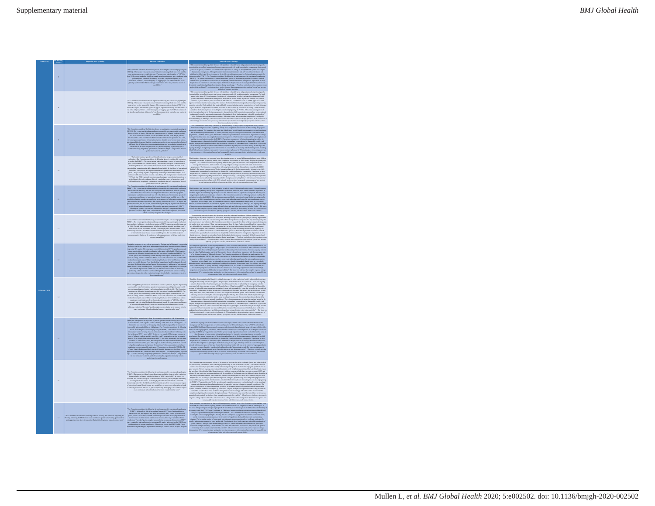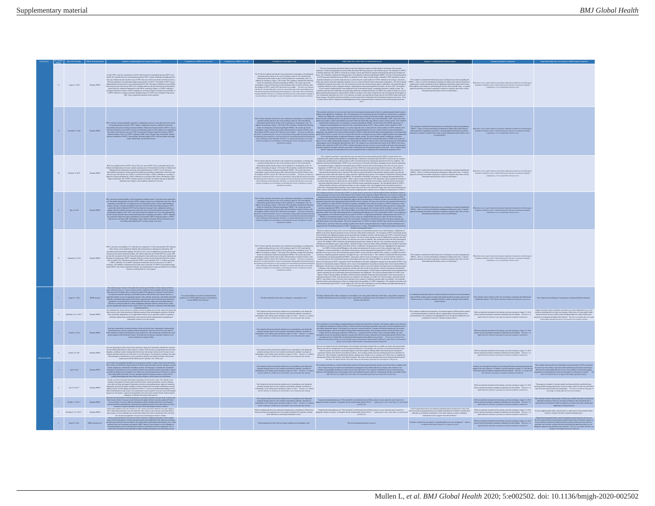|            | C Morting Date of EC Morting PHEIC Ross<br>Number |                        |                                                                                                                                                                                                                                                                                                                           |                                                                                                |                                                                                                                                                                                                                                                                                                                         |                                                                                                                                                                                                                                                                                                                                                                                                                                                                                                                                                                                                                                                                                                                                                                                                                                                                                                                                                                                                                                                                                         |                                                                                                                                                                                                                               |                                                                                                                                                                                                                                                                                                                                                                                                                                                                                                                                                                                                                                                                                                                                                                                                                                                                                 |                                        |
|------------|---------------------------------------------------|------------------------|---------------------------------------------------------------------------------------------------------------------------------------------------------------------------------------------------------------------------------------------------------------------------------------------------------------------------|------------------------------------------------------------------------------------------------|-------------------------------------------------------------------------------------------------------------------------------------------------------------------------------------------------------------------------------------------------------------------------------------------------------------------------|-----------------------------------------------------------------------------------------------------------------------------------------------------------------------------------------------------------------------------------------------------------------------------------------------------------------------------------------------------------------------------------------------------------------------------------------------------------------------------------------------------------------------------------------------------------------------------------------------------------------------------------------------------------------------------------------------------------------------------------------------------------------------------------------------------------------------------------------------------------------------------------------------------------------------------------------------------------------------------------------------------------------------------------------------------------------------------------------|-------------------------------------------------------------------------------------------------------------------------------------------------------------------------------------------------------------------------------|---------------------------------------------------------------------------------------------------------------------------------------------------------------------------------------------------------------------------------------------------------------------------------------------------------------------------------------------------------------------------------------------------------------------------------------------------------------------------------------------------------------------------------------------------------------------------------------------------------------------------------------------------------------------------------------------------------------------------------------------------------------------------------------------------------------------------------------------------------------------------------|----------------------------------------|
|            | Assoc 15, 2018                                    | Remains PHEIC          | Oracle 3007) can have an interaction in the Michael Schwarz interaction of additional consideration of the Michael Schwarz in the Michael Schwarz in the Michael Schwarz in the Michael Schwarz in the Michael Schwarz in the                                                                                             |                                                                                                | The LaS at a completely particle when the Constant of Application (Solid Constant) and the complete of the constant of the constant of the constant of the constant of the constant of the constant of the constant of the co<br>mitators as rolly transmission                                                         |                                                                                                                                                                                                                                                                                                                                                                                                                                                                                                                                                                                                                                                                                                                                                                                                                                                                                                                                                                                                                                                                                         |                                                                                                                                                                                                                               |                                                                                                                                                                                                                                                                                                                                                                                                                                                                                                                                                                                                                                                                                                                                                                                                                                                                                 |                                        |
|            |                                                   |                        |                                                                                                                                                                                                                                                                                                                           |                                                                                                | The Kale are explicit gravitation and the first gravitation of the SMT consistent and the state of the SMT consistent and the SMT consistent and the SMT consistent and the SMT consistent and the SMT consistent and the SMT                                                                                           |                                                                                                                                                                                                                                                                                                                                                                                                                                                                                                                                                                                                                                                                                                                                                                                                                                                                                                                                                                                                                                                                                         |                                                                                                                                                                                                                               | nite there was no expect montion of exchange commonly transmission.<br>Committee statements, polis is widely understood to operate via sustain                                                                                                                                                                                                                                                                                                                                                                                                                                                                                                                                                                                                                                                                                                                                  |                                        |
|            | <b>February 19, 2019</b>                          | Romains PHEIC          | There was a galaxie increase in WPV1 cases in 2018. Six cases of WPV1 here accured then for the year. We consider the set of possible spectra game. The results are also the spectra and the spectra possible spectra and the                                                                                             |                                                                                                |                                                                                                                                                                                                                                                                                                                         |                                                                                                                                                                                                                                                                                                                                                                                                                                                                                                                                                                                                                                                                                                                                                                                                                                                                                                                                                                                                                                                                                         | The Constitute the following from its making the conclusion ingendiate the other was respect meeter of existing commonly resented in the European HERC ( ) The increase in the European constant in the European in the Eu    |                                                                                                                                                                                                                                                                                                                                                                                                                                                                                                                                                                                                                                                                                                                                                                                                                                                                                 |                                        |
|            |                                                   |                        |                                                                                                                                                                                                                                                                                                                           |                                                                                                |                                                                                                                                                                                                                                                                                                                         |                                                                                                                                                                                                                                                                                                                                                                                                                                                                                                                                                                                                                                                                                                                                                                                                                                                                                                                                                                                                                                                                                         |                                                                                                                                                                                                                               |                                                                                                                                                                                                                                                                                                                                                                                                                                                                                                                                                                                                                                                                                                                                                                                                                                                                                 |                                        |
|            |                                                   |                        | riega globally to 73 to data this year compared to 15 in the same period in 2018. Majorit<br>Will make boostom globally the book the highest comparison in the book method and the book of the state of the first state of the state of the state of the state of the state of the state of the state of the state of the |                                                                                                | where to qualify as an extraordinary event during the current circum                                                                                                                                                                                                                                                    | Algorithm, with the ole of a strong endual issues<br>that the data to use the collaborate parameters of the control of the<br>strong endual issues and the data of the control of the control of the<br>strong endual is a strong endu                                                                                                                                                                                                                                                                                                                                                                                                                                                                                                                                                                                                                                                                                                                                                                                                                                                  |                                                                                                                                                                                                                               |                                                                                                                                                                                                                                                                                                                                                                                                                                                                                                                                                                                                                                                                                                                                                                                                                                                                                 |                                        |
|            | August 6-7, 2014                                  | <b>PHEIC delayed</b>   |                                                                                                                                                                                                                                                                                                                           | conditions for a Public Health Emergency of International Concern (PHEIC) have been met." $\,$ |                                                                                                                                                                                                                                                                                                                         | ${it\,} the Doissonian is Note that consider a 'cancellation' peak' and a pole's width of a other time. In possible components of the double components are given by a single point of the time of the time. The solution is the two lines of the two lines of the time is given by a single point of the time. The solution is the two lines of the time is given by a single point of the time. The solution is the two lines of the time is given by a single point of the time. The solution is the two lines of the time is given by a single point of the time.$                                                                                                                                                                                                                                                                                                                                                                                                                                                                                                                  |                                                                                                                                                                                                                               | The Committee noted "virulence of the virue, the intensive community and health facilitation<br>for patterns." This indicates metaleod community transmission was averaged<br>as                                                                                                                                                                                                                                                                                                                                                                                                                                                                                                                                                                                                                                                                                                |                                        |
|            | Somehor IAN 2014 *                                | <b>Propriet POETY</b>  | The Committee had various concerns for negoties accretivities including the following: flight cancellations and other exceeds unreal metric<br>forms that are hindering response of form and damaging economies of a<br>fliends, th                                                                                       |                                                                                                | The Committee did not state that the contenuls was an 'extraordinary over<br>of thing this particular meeting. However, the Committee most that the cothesis<br>$^{\circ}$ constitutes an output matching over<br>an integrance from prope                                                                              |                                                                                                                                                                                                                                                                                                                                                                                                                                                                                                                                                                                                                                                                                                                                                                                                                                                                                                                                                                                                                                                                                         | The Committee emphasized the importance of continued support by WHO and other national and international partners towards the effective implementation and monitoring of these recommendations. The Committee of the inglifie | $\label{thm:main}$ While are explicitly mational in this mass<br>for a spectral control of the substantial for a structure of the substantial control of the structure of the<br>description of the structure of the structure of the struc                                                                                                                                                                                                                                                                                                                                                                                                                                                                                                                                                                                                                                     |                                        |
|            | October 22, 2014                                  | Romains PHEIC          | proparedness massures in an risk countries.<br>Cases have exponentially increased in Guinna, Liberia and Sierra Loose. Exportations to Spain and the United States have occurred, outstring in British States have a section of the STS cases and determined and the states                                               |                                                                                                | $^{\circ}$ particular meeting. Herewer, the Committee needs that the cultural "constitutes an extraordinary create" during a prior meeting on August $^{5}$ 8, 2014. Therefore, it is implied that the cultural is considered an e                                                                                      | Now equation (of any smaller $\mathbf{k}$ behavior to the following of the state of the state of any state of the state of the state of any state of the state of the state of the state of the state of the state of the state of                                                                                                                                                                                                                                                                                                                                                                                                                                                                                                                                                                                                                                                                                                                                                                                                                                                      |                                                                                                                                                                                                                               | While not explicitly mentioned in this meeting, a previous meeting on August 7-8, 2004<br>descrip referenced naturined community transmission for the outbreak. Therefore, it is implied that this outbreak is operating via nat                                                                                                                                                                                                                                                                                                                                                                                                                                                                                                                                                                                                                                                | is knowledge requeding the agent or by |
|            | January 20, 2015                                  | Remains PHEIC          | Concentrations<br>into Lie Liestin, Sierra Losson and Guinea, Spain, the United States and Mail have declined<br>a parameter the material concentration is under the state of the states of the states<br>of the states of the states                                                                                     |                                                                                                |                                                                                                                                                                                                                                                                                                                         | $\label{eq:1} The combination of the models are also an important solution for the model of the models. The definition of the models are also a non-constant solution for the model of the models. The definition of the models are also a non-constant solution for the model of the models. The definition of the models are also a non-constant solution for the model of the models. The definition of the models are also a non-constant solution for the model of the models. The definition of the models are also a non-constant solution for the model of the models. The definition of the models are also a non-constant solution for the model of the models. The definition of the models are also a non-constant solution for the model of the models. The definition of the models are also a non-constant solution for the model of the models. The definition of the models are also a non-constant solution for the model of the models. The definition of the models are also a non-constant solution for the model of the models. The definition of the models are$ |                                                                                                                                                                                                                               | While not explicitly mentioned in this meeting, a previous meeting on August 7-8, 2004 directly referenced sustained community transmission for the outbreak. Therefore, it is implied that this outbreak is operating via ra                                                                                                                                                                                                                                                                                                                                                                                                                                                                                                                                                                                                                                                   |                                        |
|            | April 9, 2015                                     |                        | is<br>a includes and prographic distribution of cases has gown usually in Liberia, Sierra Lones and Gainsa.<br>In this complete the state of the control of the state of the state of the<br>state in the state of the state of the st                                                                                    |                                                                                                |                                                                                                                                                                                                                                                                                                                         | The company of the contract on transfer perfect the figure of the contract of the transfer at the contract of the contract of the contract of the contract of the contract of the contract of the contract of the contract of                                                                                                                                                                                                                                                                                                                                                                                                                                                                                                                                                                                                                                                                                                                                                                                                                                                           |                                                                                                                                                                                                                               | $\label{prop:main} The Compton bound is a nonnegative number is the same time of the two qubit sum is a given if $NN$ is a given number of NN$-probability and two qubit sum is a given number of the two qubit sum is a given number of the two qubit sum is a given number of the two qubit sum is a given number of the two qubit sum is a given number of the two qubit sum is a given number of the two qubit sum is a given number of the two qubit sum is a given number of the two qubit sum is a given number of the two qubit sum is a given number of the two qubit sum is a given number of the two qubit sum is a given number of the two qubit sum is a given number of the two qubit sum is a given number of the two qubit sum is a given number of the two qubit sum is a given number of the two qubit sum is a given number of the two qubit sum is a given$ |                                        |
|            | July 2-6, 2015 *                                  | Romains PHERC          | Ouncil, case here decomed with incidence plus<br>numerous field for the control. The control participate in the case of<br>$\phi$ and $\phi$ is controlled for the control of<br>the control of the control of the controlled control of t                                                                                |                                                                                                | The Committee did not state that the outbreak was an 'extraordinary event' during this<br>particular moving. However, the Committee noted that the outletels. "constitutes an "extraordinary overst" during a prior meeting on August 7-8, 2014. Therefore, it is implied that the excitered is considered an extraordi |                                                                                                                                                                                                                                                                                                                                                                                                                                                                                                                                                                                                                                                                                                                                                                                                                                                                                                                                                                                                                                                                                         |                                                                                                                                                                                                                               | White net explicitly mational in this moting, a processe moting on Angest T4, 2004 — this property of mathematical functions, and the content of the content of the content of the content of the content of the content of t                                                                                                                                                                                                                                                                                                                                                                                                                                                                                                                                                                                                                                                   |                                        |
| $\sigma$ . | October 1-3, 2015 $\star$                         | Romains PHEIC          | Lieut has been declared for ${\cal C}$ feed to measure and simulated for the best states of the property of the state of property of the control of the property of the state of the state of the state of the state of the state                                                                                         |                                                                                                |                                                                                                                                                                                                                                                                                                                         | The Commission of the substitute in Commission controlled the population controlled in the dual to interest tend of this commission control in the control in the control in the controlled in the controlled in the controll                                                                                                                                                                                                                                                                                                                                                                                                                                                                                                                                                                                                                                                                                                                                                                                                                                                           |                                                                                                                                                                                                                               | While are explicitly constrained in this mosting, a process mosting on Appen 7 M, 2004 — The Committee mass of most constraints and the constraints of the constraints of the constraints of the constraints of the constrain                                                                                                                                                                                                                                                                                                                                                                                                                                                                                                                                                                                                                                                   |                                        |
|            | 8 - December 15-71-2015 *                         | <b>Portales PREDIT</b> | Guina has<br>alt repenut a case since October 29, 2015. Siems Leone has<br>alt reported a case since Angest 8, 2015. Likeria has<br>alt reported a case of non-threat has the second since Millet 20, 2015. However, great concern com                                                                                    |                                                                                                |                                                                                                                                                                                                                                                                                                                         | $\label{prop:2}$ Which considers the contribution of the contribution of the contribution of the contribution of the contribution of the contribution of the contribution of the contribution of the contribution of the contributio                                                                                                                                                                                                                                                                                                                                                                                                                                                                                                                                                                                                                                                                                                                                                                                                                                                    |                                                                                                                                                                                                                               | While not explicitly manisoned in this moving, a persions moving on August 7-8, 2004 . The also subsetly referenced community transmission for the outbreak. Therefore, it is any implied that this outbreak is operating via                                                                                                                                                                                                                                                                                                                                                                                                                                                                                                                                                                                                                                                   |                                        |
|            | March 29, 2016                                    |                        | in a statement population. Example, the interaction of the state of the control of the state of the state of the state of the state of the state of the state of the state of the state of the state of the state of the stat                                                                                             |                                                                                                | sion in Wort Africa no longer constitutos an extr                                                                                                                                                                                                                                                                       | The risk of interactional special is now $\mathrm{ker}^{\mathfrak{a}}$                                                                                                                                                                                                                                                                                                                                                                                                                                                                                                                                                                                                                                                                                                                                                                                                                                                                                                                                                                                                                  | antly have the capacity to respond rapidly to new virus emerge<br>coordinated international response is no longer necessary.                                                                                                  | While not explicitly matterned in this mosting, a previous mosting on August 7-8, 2004 <b>the user that we note that were intervented as the contact of the state of the state of the state of the state of the state of the st</b>                                                                                                                                                                                                                                                                                                                                                                                                                                                                                                                                                                                                                                             | South The above text insula            |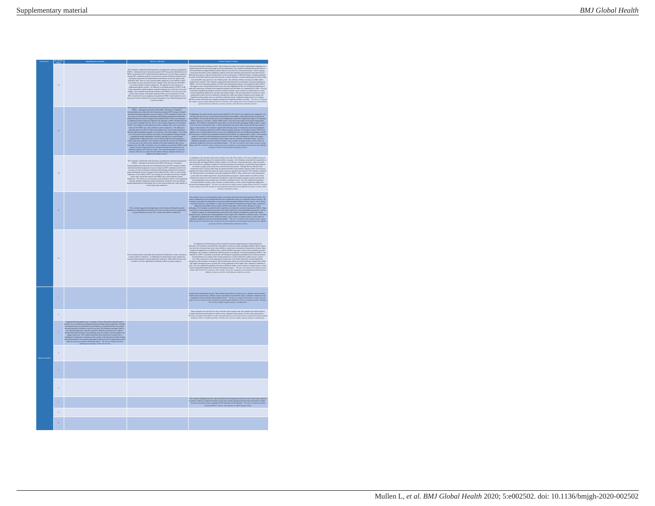| $\operatorname{Dom}(\operatorname{Var})$<br>Threat to eradication<br>Complex Response Settings<br>Importing mass gathe<br>The Correlation of the latter than the first of the first procedure of the correlation of the latter of the correlation of the correlation of the correlation of the correlation of the correlation of the correlation of the<br>15<br>as redio are unique."<br>19<br>$\begin{minipage}[t]{0.00\textwidth} \begin{minipage}[t]{0.00\textwidth} \begin{itemize} {\bf 1} & \text{if $t$} \\ \text{if $t$} & \text{if $t$} \\ \text{if $t$} & \text{if $t$} \\ \text{if $t$} & \text{if $t$} \\ \text{if $t$} & \text{if $t$} \\ \text{if $t$} & \text{if $t$} \\ \text{if $t$} & \text{if $t$} \\ \text{if $t$} & \text{if $t$} \\ \text{if $t$} & \text{if $t$} \\ \text{if $t$} & \text{if $t$} \\ \text{$<br>The Committee matrices the following from the track point and connected experimental positive connection of the following connected experimental and connected and connected and connected and connected and connected and co<br>$_{20}$<br>The continuum area considered with a maximized of a function profit is possible and the considered by the control of the constraints of the constraints of the constraints of the constraints of the constraints of the const<br>kes, to understand what factors have led to the secont but most sations determined what factors have but the second second control in reduction.<br>$_{21}$<br>increasing refleral by individuals and communities [in Pulsima] to accept vaccination is only the certainties. In Adjanction, the determined as controller and the conditional of the conditional of the main only hampened p<br>$\overline{22}$ |  |
|--------------------------------------------------------------------------------------------------------------------------------------------------------------------------------------------------------------------------------------------------------------------------------------------------------------------------------------------------------------------------------------------------------------------------------------------------------------------------------------------------------------------------------------------------------------------------------------------------------------------------------------------------------------------------------------------------------------------------------------------------------------------------------------------------------------------------------------------------------------------------------------------------------------------------------------------------------------------------------------------------------------------------------------------------------------------------------------------------------------------------------------------------------------------------------------------------------------------------------------------------------------------------------------------------------------------------------------------------------------------------------------------------------------------------------------------------------------------------------------------------------------------------------------------------------------------------------------------------------------------------------------------------------------------------------------------------------------------------------------|--|
|                                                                                                                                                                                                                                                                                                                                                                                                                                                                                                                                                                                                                                                                                                                                                                                                                                                                                                                                                                                                                                                                                                                                                                                                                                                                                                                                                                                                                                                                                                                                                                                                                                                                                                                                      |  |
|                                                                                                                                                                                                                                                                                                                                                                                                                                                                                                                                                                                                                                                                                                                                                                                                                                                                                                                                                                                                                                                                                                                                                                                                                                                                                                                                                                                                                                                                                                                                                                                                                                                                                                                                      |  |
|                                                                                                                                                                                                                                                                                                                                                                                                                                                                                                                                                                                                                                                                                                                                                                                                                                                                                                                                                                                                                                                                                                                                                                                                                                                                                                                                                                                                                                                                                                                                                                                                                                                                                                                                      |  |
|                                                                                                                                                                                                                                                                                                                                                                                                                                                                                                                                                                                                                                                                                                                                                                                                                                                                                                                                                                                                                                                                                                                                                                                                                                                                                                                                                                                                                                                                                                                                                                                                                                                                                                                                      |  |
|                                                                                                                                                                                                                                                                                                                                                                                                                                                                                                                                                                                                                                                                                                                                                                                                                                                                                                                                                                                                                                                                                                                                                                                                                                                                                                                                                                                                                                                                                                                                                                                                                                                                                                                                      |  |
| $\label{t:main} The paper is a common function such that "Since should remain both can evaluate a subgraph of all functions are given.$<br>n.                                                                                                                                                                                                                                                                                                                                                                                                                                                                                                                                                                                                                                                                                                                                                                                                                                                                                                                                                                                                                                                                                                                                                                                                                                                                                                                                                                                                                                                                                                                                                                                        |  |
| "Many respondant have lest their lives due to the nature of the response work; the Committee stressed that atliceed countries sheeds assume that health-case workers receive adequate security massumes for their estiny and<br>$\overline{a}$                                                                                                                                                                                                                                                                                                                                                                                                                                                                                                                                                                                                                                                                                                                                                                                                                                                                                                                                                                                                                                                                                                                                                                                                                                                                                                                                                                                                                                                                                       |  |
| à.                                                                                                                                                                                                                                                                                                                                                                                                                                                                                                                                                                                                                                                                                                                                                                                                                                                                                                                                                                                                                                                                                                                                                                                                                                                                                                                                                                                                                                                                                                                                                                                                                                                                                                                                   |  |
|                                                                                                                                                                                                                                                                                                                                                                                                                                                                                                                                                                                                                                                                                                                                                                                                                                                                                                                                                                                                                                                                                                                                                                                                                                                                                                                                                                                                                                                                                                                                                                                                                                                                                                                                      |  |
| $\bar{\mathbf{z}}$                                                                                                                                                                                                                                                                                                                                                                                                                                                                                                                                                                                                                                                                                                                                                                                                                                                                                                                                                                                                                                                                                                                                                                                                                                                                                                                                                                                                                                                                                                                                                                                                                                                                                                                   |  |
|                                                                                                                                                                                                                                                                                                                                                                                                                                                                                                                                                                                                                                                                                                                                                                                                                                                                                                                                                                                                                                                                                                                                                                                                                                                                                                                                                                                                                                                                                                                                                                                                                                                                                                                                      |  |
| "The Committee highlighted that the contin<br>nitus highlighted that the continued identification (including port-metron) of cases not previously register<br>continues to response operations in some areas, and the organize movement of cases and contacts to Ebola<br>as, all<br>$\overline{a}$                                                                                                                                                                                                                                                                                                                                                                                                                                                                                                                                                                                                                                                                                                                                                                                                                                                                                                                                                                                                                                                                                                                                                                                                                                                                                                                                                                                                                                  |  |
| k.                                                                                                                                                                                                                                                                                                                                                                                                                                                                                                                                                                                                                                                                                                                                                                                                                                                                                                                                                                                                                                                                                                                                                                                                                                                                                                                                                                                                                                                                                                                                                                                                                                                                                                                                   |  |
|                                                                                                                                                                                                                                                                                                                                                                                                                                                                                                                                                                                                                                                                                                                                                                                                                                                                                                                                                                                                                                                                                                                                                                                                                                                                                                                                                                                                                                                                                                                                                                                                                                                                                                                                      |  |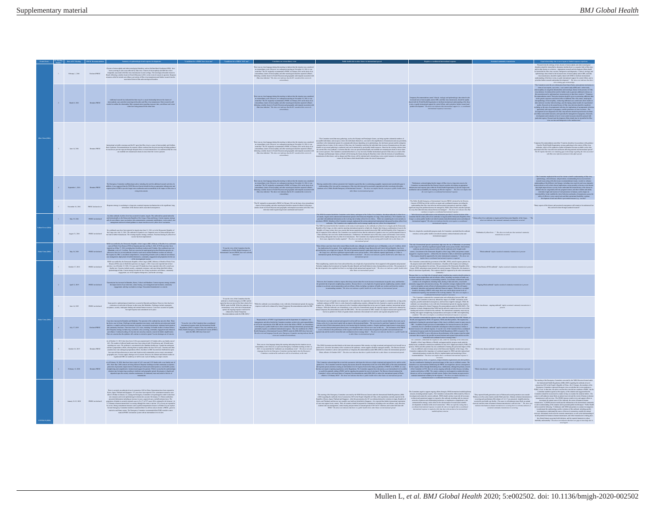|           |                   |                           | $\label{t:2}$<br>Land constraint in the set of the set of the set of the set of the set of<br>the set of the set of the set of the set of the set of the set of the<br>set of the set of the set of the set of the set of the set of the                                                                                                                                                                                                        |                                                                                                                                                                                                                                                                                                                                                                                                                                    | Thus we use that imaging the<br>trip plus incollege to indicate that denotes was considered as a construction<br>process, as a cubuquant matrix on November 19, 2006, it was near<br>that "The IC originally recommended a PHEMC in Fi                                                                                                    |                                                                                                                                                                                                                                                                                                                                                                                                                                                                                            |                                                                                                                                                                                                                                                                                                                                                                                                                                                                                              |                                                            | and/or other factors or co-factors<br>Appropriate research and development effects should be intensifed for Zika views raceiuse, the<br>expective and disgussestics. Clinical, visiologic and opinionically<br>is also replaced by                                                                                                                                                                                                                                                                                                                                                                                                                                 |
|-----------|-------------------|---------------------------|-------------------------------------------------------------------------------------------------------------------------------------------------------------------------------------------------------------------------------------------------------------------------------------------------------------------------------------------------------------------------------------------------------------------------------------------------|------------------------------------------------------------------------------------------------------------------------------------------------------------------------------------------------------------------------------------------------------------------------------------------------------------------------------------------------------------------------------------------------------------------------------------|-------------------------------------------------------------------------------------------------------------------------------------------------------------------------------------------------------------------------------------------------------------------------------------------------------------------------------------------|--------------------------------------------------------------------------------------------------------------------------------------------------------------------------------------------------------------------------------------------------------------------------------------------------------------------------------------------------------------------------------------------------------------------------------------------------------------------------------------------|----------------------------------------------------------------------------------------------------------------------------------------------------------------------------------------------------------------------------------------------------------------------------------------------------------------------------------------------------------------------------------------------------------------------------------------------------------------------------------------------|------------------------------------------------------------|--------------------------------------------------------------------------------------------------------------------------------------------------------------------------------------------------------------------------------------------------------------------------------------------------------------------------------------------------------------------------------------------------------------------------------------------------------------------------------------------------------------------------------------------------------------------------------------------------------------------------------------------------------------------|
|           | Mash 8, 2016      | <b>Ponsing PREDICT</b>    | Newspaper can all other associates and the substitutional process and the control of the state of the state of the state of the state of the state of the state of the state of the state of the state of the state of the sta                                                                                                                                                                                                                  |                                                                                                                                                                                                                                                                                                                                                                                                                                    | Then we note that imaging the<br>rigo fits modely to indicate that the strained material materials are considered<br>by averall intervent, at a coheoparte matrix on November 19, 2006, it was<br>a contradict matrix of the originall                                                                                                    |                                                                                                                                                                                                                                                                                                                                                                                                                                                                                            | increased ness of microscophaly and or GHS, and Zika viens transmission, should be rapidly<br>and with the World Health Organization to facilizer intermetional understanding of the those<br>vents, to gridde intermedicant suppor                                                                                                                                                                                                                                                          |                                                            | $\label{eq:2} \begin{minipage}[t]{0.9\textwidth} \begin{tabular}{ c c c c } \hline & \multicolumn{2}{ c }{\textbf{a}} & \multicolumn{2}{ c }{\textbf{a}} & \multicolumn{2}{ c }{\textbf{a}} & \multicolumn{2}{ c }{\textbf{a}} & \multicolumn{2}{ c }{\textbf{a}} & \multicolumn{2}{ c }{\textbf{a}} & \multicolumn{2}{ c }{\textbf{a}} & \multicolumn{2}{ c }{\textbf{a}} & \multicolumn{2}{ c }{\textbf{a}} & \multicolumn{2}{ c }{\textbf{$<br>edispensed and evaluation of novel vector control measures should be<br>calar argumcy. Resume<br>the and disruppeners efforts should also be into two vaccines and the<br>upperior in the medium term." $\ldots$ |
|           | June 14, 2006     | Remains PHESC             | International scientific consumer and the EC agree that Zika view is a cases of microcophaly and Gallinizman Recommendations for response effects contain from the prior meeting including guidance for experiments for respo                                                                                                                                                                                                                   |                                                                                                                                                                                                                                                                                                                                                                                                                                    |                                                                                                                                                                                                                                                                                                                                           |                                                                                                                                                                                                                                                                                                                                                                                                                                                                                            |                                                                                                                                                                                                                                                                                                                                                                                                                                                                                              |                                                            | ampany Recommendations cand that "Constraint sheald are in accordance with produce from the World Health Organization on mass gutherings in the contrast of Zika virus<br>contrasts of the specifical state of the specifical st                                                                                                                                                                                                                                                                                                                                                                                                                                   |
|           | Supander 1, 2016  | Remains PHEIC             | The European Committee surfficted part advise including the seed for additional research activities. In<br>addition, it was suggested that the WHO Director-General should develop an appropriate infrastructure and<br>supposes pl                                                                                                                                                                                                             |                                                                                                                                                                                                                                                                                                                                                                                                                                    |                                                                                                                                                                                                                                                                                                                                           | $\frac{\frac{1}{2} \left( \frac{1}{2} \right) \left( \frac{1}{2} \right) \left( \frac{1}{2} \right) \left( \frac{1}{2} \right) \left( \frac{1}{2} \right) \left( \frac{1}{2} \right) \left( \frac{1}{2} \right) \left( \frac{1}{2} \right) \left( \frac{1}{2} \right) \left( \frac{1}{2} \right) \left( \frac{1}{2} \right) \left( \frac{1}{2} \right) \left( \frac{1}{2} \right) \left( \frac{1}{2} \right) \left( \frac{1}{2} \right) \left( \frac{1}{2} \right) \left($                 | "Furthermore, as<br>knowledging that the impact of Zika virus is a long term concern, the<br>$^\circ$ Committee recommended that the Director Gaussian<br>is an integrating an appropriate inferentiation and accordinately for entering th                                                                                                                                                                                                                                                  |                                                            | spidemiology, clinical disease, and prevention, recommending focus on several new<br>rearch iones alone with other iones recommended newtonely, in order to: enhanc<br>remain from a finite with the<br>linear model and provides the contribution of the different value of<br>the different condition contribution of the contribution of the<br>state of the state of the contribution of the contribution<br>unitary of office<br>nols and their operational final<br>hility; continue $(a,g,\:vacial)^{\ast}$                                                                                                                                                 |
|           | November 18, 2016 | <b>BEEN' distant over</b> | Response strategy is oscalating to a long-term, sustained response mechanism due to the significant, long-term nature of the diseasest and its associated consequences.                                                                                                                                                                                                                                                                         |                                                                                                                                                                                                                                                                                                                                                                                                                                    | The EC originally recommended a PHEIC in February 2016 on the basis of an extraordinate of microcophaly and other neurological disorders reported in Brazil, following a similar classer is Franch Polynosis and groupplies a                                                                                                             |                                                                                                                                                                                                                                                                                                                                                                                                                                                                                            | "The Public Health Emergency of Immuniceal Concern (PHEIC) declared by the Director-General of WHO has led the world to an urgent and coordinated response, providing the understanding that Zika virus infection and associa<br>understanding This associate were measured by managed by WHO, Status Parties and other partners in a way that other infections disease the<br>sate are separate in a way that other infections disease the<br>sate are nanaged." Th<br>continues to require |                                                            | this can best be done through sustained research." $\,$                                                                                                                                                                                                                                                                                                                                                                                                                                                                                                                                                                                                            |
|           | May 19, 2016      | PHEIC not distant         | An other ordered of yellow four has occurred in Lunda, Angela This outleve<br>it has speed antonicionally to the Democratic Republic of the Congo, China and Kenya. Current suspense strategy<br>calls for envertiseme, must vaccin                                                                                                                                                                                                             |                                                                                                                                                                                                                                                                                                                                                                                                                                    |                                                                                                                                                                                                                                                                                                                                           | The Wilsonian School of the San Marine of the Prince School of the San Marine and the Content of the San Marine of the San Marine of the San Marine of the San Marine of the San Marine of the San Marine of the San Marine o                                                                                                                                                                                                                                                              |                                                                                                                                                                                                                                                                                                                                                                                                                                                                                              | thraiks in Angola and the Democratic Republic of the Congo |                                                                                                                                                                                                                                                                                                                                                                                                                                                                                                                                                                                                                                                                    |
| $\bar{2}$ | August 31, 2016   | PHEIC not                 | No confirmed cases have been reported in Angela since June 21, 2016, or in the Deenscratic Republic of the Congo since July 12, 2016. The confronity in Ugama is cover, from ported cases in China and Korey have not inal to                                                                                                                                                                                                                   |                                                                                                                                                                                                                                                                                                                                                                                                                                    |                                                                                                                                                                                                                                                                                                                                           | The Wild Section and the Commission of the County of the Section of the Section of the Basic and the Democratic Department of the County of the Section of the Section of the Section of the Section of the Section of the Se<br>thus mising subsegioual risks of yellow forest transmission. The Committee also emphasized the need to rapidly manage any new yellows<br>forest cause, imported or locally acquired." The above next indicates that there is an e<br>international spread | Theorem, despite the considerable progress made, the Committee concluded that the outbreak $\label{eq:conformal} \text{Consider the case with the current model action with our model action and}\\ \text{resonance of the model of action and action and action and action.} \vspace{-3mm}$                                                                                                                                                                                                 |                                                            |                                                                                                                                                                                                                                                                                                                                                                                                                                                                                                                                                                                                                                                                    |
|           | May 18, 2018      | PHEIC not do              | $\begin{minipage}[t]{0.00\textwidth} \begin{tabular}{ c c c c } \hline & \multicolumn{1}{ c }{\textbf{a}} & \multicolumn{1}{ c }{\textbf{b}} & \multicolumn{1}{ c }{\textbf{a}} & \multicolumn{1}{ c }{\textbf{b}} & \multicolumn{1}{ c }{\textbf{a}} & \multicolumn{1}{ c }{\textbf{a}} & \multicolumn{1}{ c }{\textbf{a}} & \multicolumn{1}{ c }{\textbf{a}} & \multicolumn{1}{ c }{\textbf{a}} & \multicolumn{1}{ c }{\textbf{a}} & \multic$ | was the view of the Committee that the<br>Intens for a Public Health Emergency of<br>Ional Concern (PHEEC) have not current                                                                                                                                                                                                                                                                                                        |                                                                                                                                                                                                                                                                                                                                           | Note that we have been there in the same production is that has a grid state, the comparison of the production of the same production of the same of the same of the same of the same of the same of the same of the same of                                                                                                                                                                                                                                                               |                                                                                                                                                                                                                                                                                                                                                                                                                                                                                              |                                                            |                                                                                                                                                                                                                                                                                                                                                                                                                                                                                                                                                                                                                                                                    |
|           | October 17, 2018  |                           |                                                                                                                                                                                                                                                                                                                                                                                                                                                 |                                                                                                                                                                                                                                                                                                                                                                                                                                    |                                                                                                                                                                                                                                                                                                                                           |                                                                                                                                                                                                                                                                                                                                                                                                                                                                                            |                                                                                                                                                                                                                                                                                                                                                                                                                                                                                              |                                                            |                                                                                                                                                                                                                                                                                                                                                                                                                                                                                                                                                                                                                                                                    |
|           | April 12, 2019    |                           | $\label{t:main} The transition has learned in Ratankel, Kultel, Vultel 1466-mass of a non-distribution, contain a nonnegative and common, com-conagogeneous, and ring-vacization corresponding. Nonomial transmission is a concaveconag$                                                                                                                                                                                                        |                                                                                                                                                                                                                                                                                                                                                                                                                                    |                                                                                                                                                                                                                                                                                                                                           |                                                                                                                                                                                                                                                                                                                                                                                                                                                                                            |                                                                                                                                                                                                                                                                                                                                                                                                                                                                                              |                                                            |                                                                                                                                                                                                                                                                                                                                                                                                                                                                                                                                                                                                                                                                    |
|           | June 14, 2009     | PHEIC not declared        | Some positive opidentiological trends here occurred in Brancobo and Katwa. However, there has been extansion or splenderion of distance in other areas like Mohalo. Challenges includes and the second in Ciganda, accompany,                                                                                                                                                                                                                   | To was the view of the Committee that the<br>corbusak is a basilib emergency in DRC and the<br>spins but does not meet all the three criteria for<br>ugion but door not most all the three criteria for a<br>PHEIC under the HHR. While the outbreak is an<br>extraordinary event, with risk of international<br>speak, the engoing response would not be<br>enhanced by formal Temporary<br>Recommendations under the IHR (2015). | "While the outbreak is an extraordinary event, with side of international spread, the ongoing response would not be enhanced by formal Tomporary Recommendations under the Hill: (2005)."                                                                                                                                                 |                                                                                                                                                                                                                                                                                                                                                                                                                                                                                            |                                                                                                                                                                                                                                                                                                                                                                                                                                                                                              |                                                            |                                                                                                                                                                                                                                                                                                                                                                                                                                                                                                                                                                                                                                                                    |
|           | July 17, 2019     |                           | Case the issues in Boshin and Mobile Propission of the charge of the Boshin and the set of the Countries flat a surface<br>In the set of the Columbia and Spellers are constrained between the state of the set of the Countries                                                                                                                                                                                                                |                                                                                                                                                                                                                                                                                                                                                                                                                                    | "Representations of WHO's legal deportment and the deportment of compliance, risk consequence, and state between the consistence matrix on their state and the consequence of the HR and the orients in another on the state<br>.<br>The above zest and language from the prior Emergency Committe<br>event was considered extraordinary. | , the compact modes to the present of pair when her the track of the track from the compactivity to the compact<br>above, the compact of the compactive compactive compactive terms of the compactive and the light<br>decline the                                                                                                                                                                                                                                                         |                                                                                                                                                                                                                                                                                                                                                                                                                                                                                              |                                                            |                                                                                                                                                                                                                                                                                                                                                                                                                                                                                                                                                                                                                                                                    |
|           |                   |                           | As of October 13, 2019, there have been 3,228 cases reported and 2,123 deaths with a case finality rate of<br>$\alpha$ and $\alpha$ . The maximum is a stronger of the state of the state of the state of the spin-state state of the spin-state of the spin-state of the spin-state of the spin-state of the spin-state of the spin-state of the s                                                                                             |                                                                                                                                                                                                                                                                                                                                                                                                                                    |                                                                                                                                                                                                                                                                                                                                           | The case the largest decide that consider the construction of the construction of the construction of the construction of the construction of the construction of the construction of the construction of the construction of                                                                                                                                                                                                                                                              | The Countries connected also considered metric metric product to the<br>control of the connected also components also explicitly defined by the<br>product of the Countries connected by the component of the components of<br>the con                                                                                                                                                                                                                                                       |                                                            |                                                                                                                                                                                                                                                                                                                                                                                                                                                                                                                                                                                                                                                                    |
|           | February 12, 2020 |                           | Axot (February 10, 2000, there have been a total of $\mathcal{A}(k)$ cause and $2.551$ denths with a case follows the contribution of the contribution of the contribution of the present of the contribution of the present of the                                                                                                                                                                                                             |                                                                                                                                                                                                                                                                                                                                                                                                                                    |                                                                                                                                                                                                                                                                                                                                           | The Combine scheme<br>for the second scheme of the spin of monotonic which are the first one of<br>the link of the Combine scheme of the spin of monotonic behavior in the control of<br>$\mathbb{R}^3$ of the scheme of the spin of the s                                                                                                                                                                                                                                                 | "Support provided by W303, UN agencies, suggestions complete expressions and effect partners. The company offices the base of the company of the company of the company of the company of the company of the company of the c                                                                                                                                                                                                                                                                |                                                            |                                                                                                                                                                                                                                                                                                                                                                                                                                                                                                                                                                                                                                                                    |
|           |                   |                           | There is a most proper interaction of the transformation $\mathbb{R}^3$ . The most properties are considered in the control of the state of the state of the state of the state of the state of the state of the state of the sta                                                                                                                                                                                                               |                                                                                                                                                                                                                                                                                                                                                                                                                                    |                                                                                                                                                                                                                                                                                                                                           | "The moving victor linearing Constitutions are also by the WD Discussion of the function in linear Registerior (IRP) appearing the constraints of the constraints of the constraints of the constraints of the constraints of                                                                                                                                                                                                                                                              | The Commiss age is supprehensive from formula and the support of the product mean to the in advantage of the commission of the commission of the commission of the commission of the commission of the commission of the comm                                                                                                                                                                                                                                                                |                                                            | "The meeting of the Emergency Committee convened by the WHO Director-General and<br>in full permit<br>of the homon-to-bosons transmission, and where manusization is taking phase the clinical funtures associated with infaction, and the required trust<br>near to reduce modelity and monthly. The above sext indica                                                                                                                                                                                                                                                                                                                                            |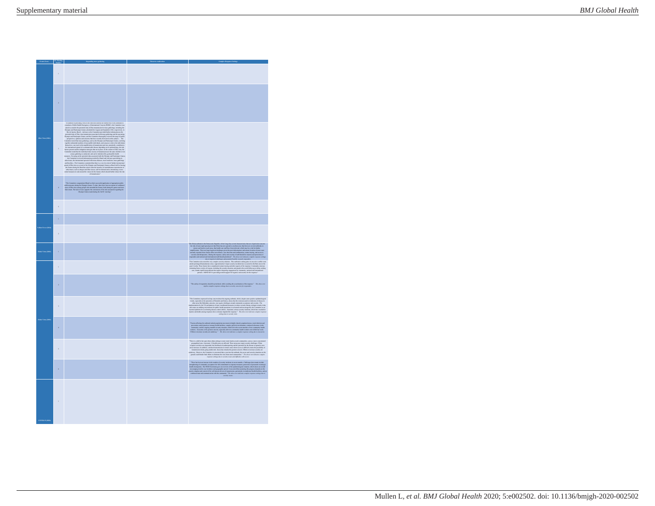| $\mathbf{p}$  |                          |                                                                                                                                                                                                                                            |                                                                                                                                                                                                                                                                                                                                                          |
|---------------|--------------------------|--------------------------------------------------------------------------------------------------------------------------------------------------------------------------------------------------------------------------------------------|----------------------------------------------------------------------------------------------------------------------------------------------------------------------------------------------------------------------------------------------------------------------------------------------------------------------------------------------------------|
|               | í,                       |                                                                                                                                                                                                                                            |                                                                                                                                                                                                                                                                                                                                                          |
|               | $\overline{a}$           |                                                                                                                                                                                                                                            |                                                                                                                                                                                                                                                                                                                                                          |
|               |                          | Country as the first detection of the mass of the<br>symmetric are the mass density of the symmetric density of<br>$\mathcal{H}$ and the symmetric product in the symmetric product<br>in the control of the country of the control of the |                                                                                                                                                                                                                                                                                                                                                          |
|               |                          | "The Committee congenral<br>and Braol on their encounted application of appropriate public tests<br>the Massach disting the Olympic Gausso The data, there have those the report of control<br>and the cases of $\mathbb{Z}$ are cases of  |                                                                                                                                                                                                                                                                                                                                                          |
|               | $\epsilon$               |                                                                                                                                                                                                                                            |                                                                                                                                                                                                                                                                                                                                                          |
|               | í,                       |                                                                                                                                                                                                                                            |                                                                                                                                                                                                                                                                                                                                                          |
|               | $\overline{\phantom{a}}$ |                                                                                                                                                                                                                                            |                                                                                                                                                                                                                                                                                                                                                          |
| <u>a care</u> | k.                       |                                                                                                                                                                                                                                            |                                                                                                                                                                                                                                                                                                                                                          |
|               | r.                       |                                                                                                                                                                                                                                            |                                                                                                                                                                                                                                                                                                                                                          |
|               | $\bar{2}$                |                                                                                                                                                                                                                                            | $\label{lem:main}$<br>The safety of susponders should be prioritized, while avoiding the succeivistics of the suspension<br>prime complex sections at the state of concerns for responders.<br><sup>2</sup> The above text                                                                                                                               |
|               | ä,                       |                                                                                                                                                                                                                                            | The Containts expansed in deep encore shot the registing entered, which, despite a<br>non-polector spheralization of the solution case for the contained material<br>contained in the polectic spheralization of the solution conta<br>an<br>Mil                                                                                                         |
|               | ٠                        |                                                                                                                                                                                                                                            | The<br>two effecting the ordered include population movement in highly densely populated axis<br>e, now in the distribution of the state of the state complex political structures<br>are consuming contained in the spacing smalled s                                                                                                                   |
|               | $\overline{\phantom{a}}$ |                                                                                                                                                                                                                                            | "There is a shift in het spots from urban settings to more rural, hard-to-reach communities, across a more concentrated<br>Then in a diff. In the space form of the metric is the metric of the form of the space of the space of the space of the space of the space of the space of the space of the space of the space of the space of the space of t |
|               | k                        |                                                                                                                                                                                                                                            | Thus has both an income to the secondary of contrast positions is more means. Contrast of a monoid a finite point of the secondary of the secondary of the secondary of the secondary of the secondary of the secondary of th                                                                                                                            |
| соvими (201)  | J.                       |                                                                                                                                                                                                                                            |                                                                                                                                                                                                                                                                                                                                                          |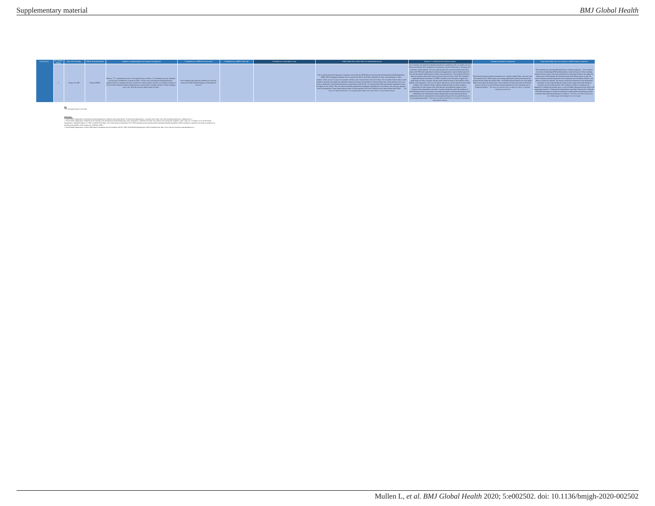

**Key** \* EC meeting took place over email

2. World Health Organization. Statement on the meeting of the International Health Regulations (2005) Emergency Committee for Ebola virus disease in the Democratic Republic of the Congo on 12 February 2020: World Health Opposization: Tundated February 12, 2020. Available from: Intercity www.tela.int/acres-exomidated 12-02-2020-manager-on-the-maniate-of-the-international-bushb-resulations (2005)-managers-committee for choice-virus-diseasuthe-democratic-republic-of-the-congo-on-12-february-2020.] 1. World Health Organization. International Health Regulations Committees and Expert Roster: World Health Organization; [Available from: http://www.who.int/ihr/procedures/ihr\_committees/en/.]

3. World Health Organization. Current WHO phase of pandemic alert for Pandemic (H1N1) 2009: World Health Organization; 2009 [Available from: http://www.who.int/csr/disease/swineflu/phase/en/.]